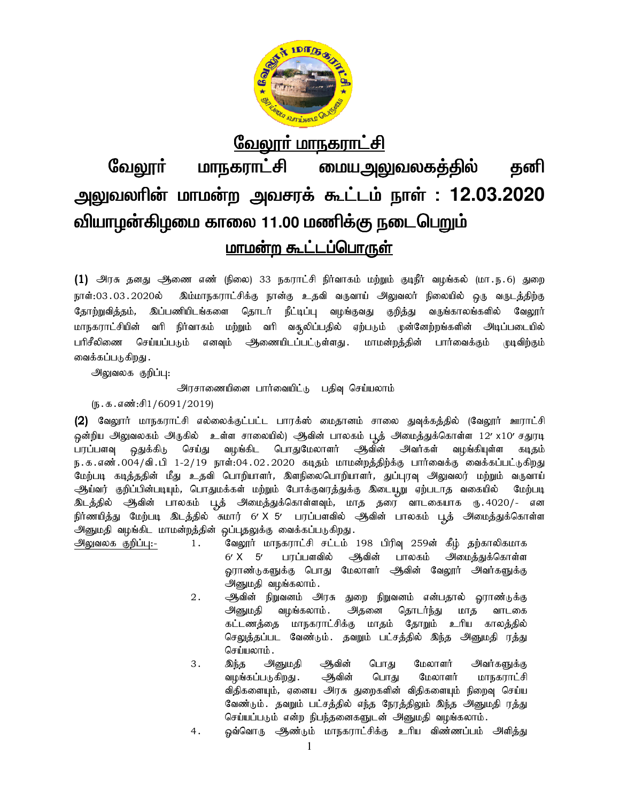

# <u>வேலூர் மாநகராட்சி</u> மாநகராட்சி <u>மையஅலுவலகத்தில்</u> வேலாா் கனி அலுவலரின் மாமன்ற அவசரக் கூட்டம் நாள் : 12.03.2020 வியாழன்கிழமை காலை 11.00 மணிக்கு நடைபெறும் <u>மாமன்ற கூட்டப்பொருள்</u>

(1) அரசு தனது ஆணை எண் (நிலை) 33 நகராட்சி நிர்வாகம் மற்றும் குடிநீர் வழங்கல் (மா.ந.6) துறை நாள்:03.03.2020ல் இம்மாநகராட்சிக்கு நான்கு உதவி வருவாய் அலுவலர் நிலையில் ஒரு வருடத்திற்கு தோற்றுவித்தம், இப்பணியிடங்களை தொடர் நீட்டிப்பு வழங்குவது குறித்து வருங்காலங்களில் வேலூர் நிர்வாகம் மற்றும் வரி வசூலிப்பதில் ஏற்படும் முன்னேற்றங்களின் அடிப்படையில் மாநகராட்சியின் வரி செய்யப்படும் எனவும் ஆணையிடப்பட்டுள்ளது . பரிசீலிணை மாமன்றத்தின் பார்வைக்கும் முடிவிற்கும் வைக்கப்படுகிறது .

அலுவலக குறிப்பு:

அரசாணையினை பார்வையிட்டு பதிவு செய்யலாம்

 $(\mathbf{5} \cdot \mathbf{5} \cdot \mathbf{5} \cdot \mathbf{5} \cdot \mathbf{6} \cdot \mathbf{6} \cdot \mathbf{7})$  1/6091/2019)

(2) வேலூர் மாநகராட்சி எல்லைக்குட்பட்ட பாரக்ஸ் மைதானம் சாலை துவுக்கத்தில் (வேலூர் ஊராட்சி ஒன்றிய அலுவலகம் அருகில் உள்ள சாலையில்) ஆவின் பாலகம் பூத் அமைத்துக்கொள்ள 12′ x10′ சதுரடி <u>ஒதுக்கி</u>டு செய்து வமங்கிட பொதுமேலாளர் பரப்பளவு ஆவின் அவர்கள் வமங்கியுள்ள கடிகம் ந. க. எண் . 004 / வி . பி 1-2 / 19 நாள்:04 . 02 . 2020 கடிதம் மாமன்றத்திற்க்கு பார்வைக்கு வைக்கப்பட்டுகிறது மேற்படி கடித்ததின் மீது உதவி பொறியாளர், இளநிலைபொறியாளர், துப்புரவு அலுவலர் மற்றும் வருவாய் ஆய்வர் குறிப்பின்படியும், பொதுமக்கள் மற்றும் போக்குவரத்துக்கு இடையூறு ஏற்படாத வகையில் மேற்படி இடத்தில் அிவின் பாலகம் புத் அமைத்துக்கொள்ளவும், மாத தரை வாடகையாக ரு.4020/- என நிர்ணயித்து மேற்படி இடத்தில் சுமார் 6′ X 5′ பரப்பளவில் ஆிவின் பாலகம் பூத் அமைத்துக்கொள்ள அனுமதி வழங்கிட மாமன்றத்தின் ஒப்புதலுக்கு வைக்கப்படுகிறது.

வேலூர் மாநகராட்சி சட்டம் 198 பிரிவு 259ன் கீழ் தற்காலிகமாக அலுவலக குறிப்பு:- $1.$  $6'$  X  $5'$ பரப்பளவில் ஆவின் பாலகம் அமைத்துக்கொள்ள <u>ஒ</u>ராண்டுகளுக்கு பொது மேலாளர் அூவின் வேலூர் அவர்களுக்கு அனுமதி வழங்கலாம்.

- $2.$ ஆிவின் நிறுவனம் அரசு துறை நிறுவனம் என்பதால் ஓராண்டுக்கு அதனை அனுமதி வழங்கலாம் . தொடர்ந்து மாத வாடகை கட்டணத்தை மாநகராட்சிக்கு மாதம் தோறும் உரிய காலத்தில் செலுத்தப்பட வேண்டும். தவறும் பட்சத்தில் இந்த அனுமதி ரத்து செய்யலாம்.
- அவர்களுக்கு 3. இந்த அனுமதி ஆவின் பொது மேலாளர் வழங்கப்படுகிறது . ஆவின் பொது மேலாளர் மாநகராட்சி விதிகளையும், ஏனைய அரசு துறைகளின் விதிகளையும் நிறைவு செய்ய வேண்டும். தவறும் பட்சத்தில் எந்த நேரத்திலும் இந்த அனுமதி ரத்து செய்யப்படும் என்ற நிபந்தனைகளுடன் அனுமதி வழங்கலாம்.
- ஒவ்வொரு ஆண்டும் மாநகராட்சிக்கு உரிய விண்ணப்பம் அளித்து  $4.$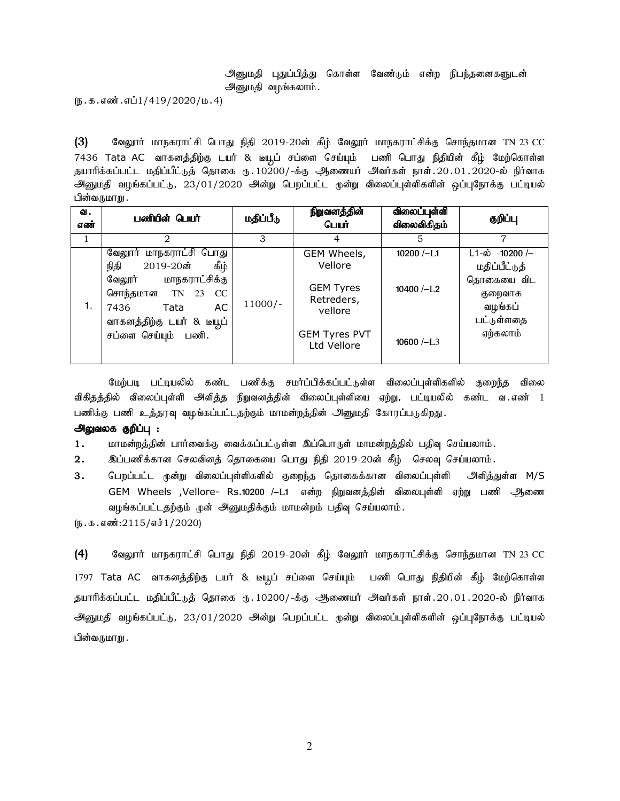## அனுமதி பதுப்பித்து கொள்ள வேண்டும் என்ற நிபந்தனைகளுடன் அனுமதி வழங்கலாம்.

 $(\mathfrak{g.}\mathfrak{s.}\mathfrak{s.}\mathfrak{s.}\mathfrak{so}$ ். எ $\mathfrak{u1}/419/2020/\mathfrak{u.}}4)$ 

(3) வேலூாா் மாநகராட்சி பொது நிதி 2019-20ன் கீழ் வேலூா் மாநகராட்சிக்கு சொந்தமான TN 23 CC 7436 Tata AC வாகனத்திற்கு டயர் & டீயூப் சப்ளை செய்யும் பணி பொது நிதியின் கீழ் மேற்கொள்ள தயாரிக்கப்பட்ட மதிப்பீட்டுத் தொகை ரு. 10200/-க்கு ஆணையர் அவர்கள் நாள். 20.01.2020-ல் நிர்வாக அனுமதி வழங்கப்பட்டு, 23/01/2020 அன்று பெறப்பட்ட முன்று விலைப்புள்ளிகளின் ஒப்புநோக்கு பட்டியல் பின்வருமாறு .

| வ.<br>எண் | பணியின் பெயர்                                                                                                                                                                      | மதிப்பீடு | நிறுவனத்தின்<br>பெயர்                                                                                      | விலைப்புள்ளி<br>விலைவிகிதம்                                                  | குறிப்பு                                                                                                   |
|-----------|------------------------------------------------------------------------------------------------------------------------------------------------------------------------------------|-----------|------------------------------------------------------------------------------------------------------------|------------------------------------------------------------------------------|------------------------------------------------------------------------------------------------------------|
| 1         | 2                                                                                                                                                                                  | 3         | 4                                                                                                          | 5                                                                            | 7                                                                                                          |
| 1.        | வேலூர் மாநகராட்சி பொது<br>ழீந்<br>2019-20ன்<br>நிதி<br>மாநகராட்சிக்கு<br>வேலூர்<br>சொந்தமான TN 23<br>CC<br>AC<br>Tata<br>7436<br>வாகனத்திற்கு டயர் & டீயூப்<br>சப்ளை செய்யும் பணி. | $11000/-$ | GEM Wheels,<br>Vellore<br><b>GEM Tyres</b><br>Retreders,<br>vellore<br><b>GEM Tyres PVT</b><br>Ltd Vellore | $10200$ $/-$ L <sub>1</sub><br>$10400$ $\left(-\right)$ $1.2$<br>10600 $-L3$ | $L1-\dot{\omega}$ -10200 /-<br>மதிப்பீட்டுத்<br>தொகையை விட<br>குறைவாக<br>வழங்கப்<br>பட்டுள்ளதை<br>ஏற்கலாம் |

மேற்படி பட்டியலில் கண்ட பணிக்கு சமர்ப்பிக்கப்பட்டுள்ள விலைப்புள்ளிகளில் குறைந்த விலை விகிதத்தில் விலைப்புள்ளி அளித்த நிறுவனத்தின் விலைப்புள்ளியை ஏற்று, பட்டியலில் கண்ட வ.எண் 1 பணிக்கு பணி உத்தரவு வழங்கப்பட்டதற்கும் மாமன்றத்தின் அனுமதி கோரப்படுகிறது.

### அலுவலக குறிப்பு :

 $1.$  khr மன்றத்தின் பார்வைக்கு வைக்கப்பட்டுள்ள இப்பொருள் மாமன்றத்தில் பதிவு செய்யலாம்.

2. இப்பணிக்கான செலவினத் தொகையை பொது நிதி 2019-20ன் கீழ் செலவு செய்யலாம்.

3 . பெறப்பட்ட முன்று விலைப்புள்ளிகளில் குறைந்த தொகைக்கான விலைப்புள்ளி அளித்துள்ள M/S GEM Wheels ,Vellore- Rs.10200 /–L1 என்ற நிறுவனத்தின் விலைபுள்ளி ஏற்று பணி ஆணை வழங்கப்பட்டதற்கும் முன் அனுமதிக்கும் மாமன்றம் பதிவு செய்யலாம்.

 $(5.5.5.5\text{m}^3:2115/\text{m}^3:1/2020)$ 

 $(4)$  Bிலதுார் மாநகராட்சி பொது நிதி 2019-20ன் கீழ் வேலூர் மாநகராட்சிக்கு சொந்தமான TN 23 CC 1797 Tata AC வாகனத்திற்கு டயர் & டீயூப் சப்ளை செய்யும் பணி பொது நிதியின் கீழ் மேற்கொள்ள தயாரிக்கப்பட்ட மதிப்பீட்டுத் தொகை ரு. 10200/-க்கு ஆணையர் அவர்கள் நாள். 20.01.2020-ல் நிர்வாக அனுமதி வழங்கப்பட்டு, 23/01/2020 அன்று பெறப்பட்ட முன்று விலைப்புள்ளிகளின் ஒப்புநோக்கு பட்டியல் பின்வருமாறு .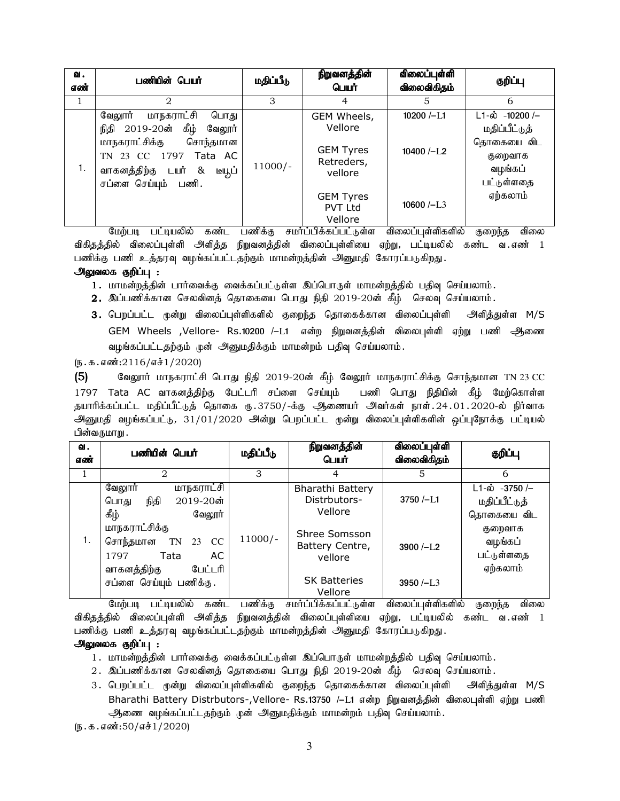| வ.<br>எண் | பணியின் பெயர்                                                                                                                                                                                    | மதிப்பீடு                            | நிறுவனத்தின்<br>பெயர்                                                                                                                          | விலைப்புள்ளி<br>விலைவிகிதம்                                      | குறிப்பு                                                                                                                |
|-----------|--------------------------------------------------------------------------------------------------------------------------------------------------------------------------------------------------|--------------------------------------|------------------------------------------------------------------------------------------------------------------------------------------------|------------------------------------------------------------------|-------------------------------------------------------------------------------------------------------------------------|
| 1         | 2                                                                                                                                                                                                | 3                                    | 4                                                                                                                                              | 5                                                                | 6                                                                                                                       |
| 1.        | மாநகராட்சி<br>வேலூர்<br>பொது<br>கீழ்<br>2019-20ன்<br>நிதி<br>வேலூர்<br>மாநகராட்சிக்கு<br>சொந்தமான<br>TN 23 CC 1797<br>Tata AC<br>வாகனத்திற்கு டயர் &<br>டியூப்<br>சப்ளை செய்யும்<br>பணி.<br>$ -$ | $11000/-$<br>$\overline{\mathbf{p}}$ | GEM Wheels,<br>Vellore<br><b>GEM Tyres</b><br>Retreders,<br>vellore<br><b>GEM Tyres</b><br><b>PVT Ltd</b><br>Vellore<br>______________________ | $10200$ $-L1$<br>$10400$ $\left(-\right)$ $1.2$<br>$10600$ $-L3$ | $L1 - \dot{\omega}$ -10200 /-<br>மதிப்பீட்டுத்<br>தொகையை விட<br>குறைவாக<br>வழங்கப்<br>பட்டுள்ளதை<br>ஏற்கலாம்<br>$    -$ |

மேற்படி பட்டியலில் கண்ட பணிக்கு சமா்ப்பிக்கப்பட்டுள்ள விலைப்புள்ளிகளில் குறைந்த விலை விகிதத்தில் விலைப்புள்ளி அளித்த நிறுவனத்தின் விலைப்புள்ளியை ஏற்று, பட்டியலில் கண்ட வ எண் 1 பணிக்கு பணி உத்தரவு வழங்கப்பட்டதற்கும் மாமன்றத்தின் அனுமதி கோரப்படுகிறது.

## அலுவலக குறிப்பு :

1. மாமன்றத்தின் பார்வைக்கு வைக்கப்பட்டுள்ள இப்பொருள் மாமன்றத்தில் பதிவு செய்யலாம்.

- $2.$  இப்பணிக்கான செலவினத் தொகையை பொது நிதி 2019-20ன் கீழ் செலவு செய்யலாம்.
- 3. பெறப்பட்ட முன்று விலைப்புள்ளிகளில் குறைந்த தொகைக்கான விலைப்புள்ளி அளித்துள்ள M/S GEM Wheels ,Vellore- Rs.10200 /–L1 என்ற நிறுவனத்தின் விலைபுள்ளி ஏற்று பணி ஆணை வழங்கப்பட்டதற்கும் முன் அனுமதிக்கும் மாமன்றம் பதிவு செய்யலாம்.

 $(5.5.5.5\cdot\frac{0.2116}{0.061}/2020)$ 

 $(5)$  Bagரார் மாநகராட்சி பொது நிதி 2019-20ன் கீழ் வேலூர் மாநகராட்சிக்கு சொந்தமான TN 23 CC 1797 Tata AC வாகனத்திற்கு பேட்டரி சப்ளை செய்யும் பணி பொது நிதியின் கீழ் மேற்கொள்ள தயாரிக்கப்பட்ட மதிப்பீட்டுத் தொகை ரு.3750/-க்கு ஆணையர் அவர்கள் நாள்.24.01.2020-ல் நிர்வாக அனுமதி வழங்கப்பட்டு, 31/01/2020 அன்று பெறப்பட்ட முன்று விலைப்புள்ளிகளின் ஒப்புநோக்கு பட்டியல் பின்வருமாறு .

| வ.<br>எண் | பணியின் பெயர்                                                                                        | மதிப்பீடு                            | நிறுவனத்தின்<br>பெயர்                                      | விலைப்புள்ளி<br>விலைவிகிதம் | குறிப்பு                                                    |
|-----------|------------------------------------------------------------------------------------------------------|--------------------------------------|------------------------------------------------------------|-----------------------------|-------------------------------------------------------------|
| $\pm$     | $\overline{2}$                                                                                       | 3                                    |                                                            | 5                           | 6                                                           |
| 1.        | <u>மாநகராட்சி</u><br>வேலூர்<br>$2019 - 20$ ன்<br>நிதி<br>பொது<br>ழ்த்<br>வேலூர்                      | $11000/-$<br>$\overline{\mathbf{p}}$ | Bharathi Battery<br>Distrbutors-<br>Vellore                | $3750 / -11$                | $L1 - \dot{\omega}$ -3750 /-<br>மதிப்பீட்டுத்<br>தொகையை விட |
|           | மாநகராட்சிக்கு<br>சொந்தமான<br><b>CC</b><br>TN<br>23<br>AC<br>Tata<br>1797<br>வாகனத்திற்கு<br>பேட்டரி |                                      | Shree Somsson<br>Battery Centre,<br>vellore                | $3900 / -L2$                | குறைவாக<br>வழங்கப்<br>பட்டுள்ளதை<br>ஏற்கலாம்                |
|           | சப்ளை செய்யும் பணிக்கு.<br>$\overline{\phantom{a}}$                                                  |                                      | <b>SK Batteries</b><br>Vellore<br>________________________ | $3950 / -L3$<br>0.11111     | $\sim$ $\sim$ $\sim$ $\sim$ $\sim$<br>$0 - 1$               |

மேற்படி பட்டியலில் கண்ட பணிக்கு சமாப்பிக்கப்பட்டுள்ள விலைப்புள்ளிகளில் குறைந்த விலை விகிதத்தில் விலைப்புள்ளி அளித்த நிறுவனத்தின் விலைப்புள்ளியை ஏற்று, பட்டியலில் கண்ட வ.எண் 1 பணிக்கு பணி உத்தரவு வழங்கப்பட்டதற்கும் மாமன்றத்தின் அனுமதி கோரப்படுகிறது.

# அலுவலக குறிப்பு :

- 1. மாமன்றத்தின் பார்வைக்கு வைக்கப்பட்டுள்ள இப்பொருள் மாமன்றத்தில் பதிவு செய்யலாம்.
- $2.$  இப்பணிக்கான செலவினத் தொகையை பொது நிதி 2019-20ன் கீழ் செலவு செய்யலாம்.
- 3. பெறப்பட்ட முன்று விலைப்புள்ளிகளில் குறைந்த தொகைக்கான விலைப்புள்ளி அளித்துள்ள M/S Bharathi Battery Distrbutors-,Vellore- Rs.13750 /-L1 என்ற நிறுவனத்தின் விலைபுள்ளி ஏற்று பணி அணை வழங்கப்பட்டதற்கும் முன் அனுமதிக்கும் மாமன்றம் பதிவு செய்யலாம்.

 $(5.5.5.50/51/2020)$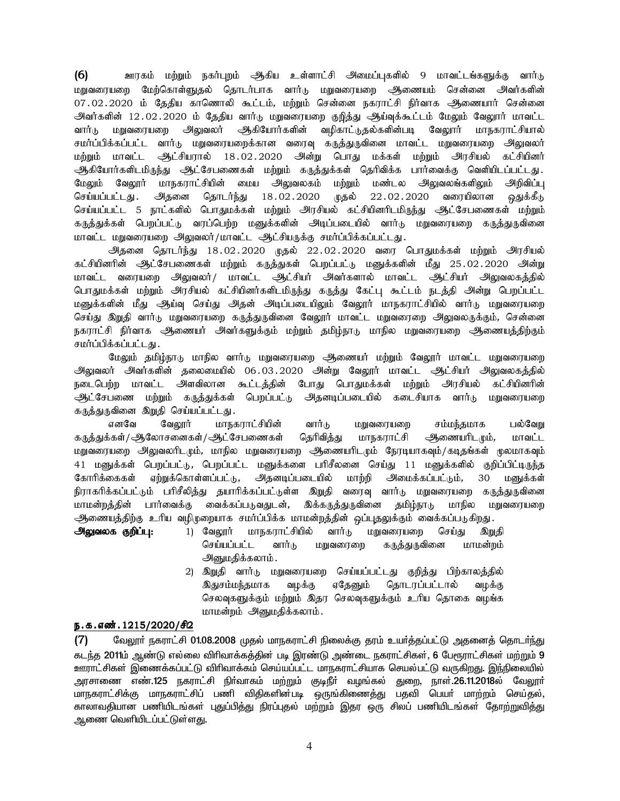(6) Cufk; kw;Wk; efh;g[wk; Mfpa cs;shl;rp mikg;g[fspy; 9 khtl;lA;fSf;F thh;L மறுவரையறை மேற்கொள்ளுதல் தொடர்பாக வார்டு மறுவரையறை ஆணையம் சென்னை அவர்களின் 07.02.2020 ம் தேதிய காணொலி கூட்டம், மற்றும் சென்னை நகராட்சி நிர்வாக ஆணையார் சென்னை .<br>அவர்களின் 12.02.2020 ம் தேதிய வார்டு மறுவரையறை குறித்து ஆய்வுக்கூட்டம் மேலும் வேலூர் மாவட்ட வார்டு மறுவரையறை அலுவலர் ஆகியோர்களின் வழிகாட்டுதல்களின்படி வேலூர் மாநகராட்சியால் சமர்ப்பிக்கப்பட்ட வார்டு மறுவரையறைக்கான வரைவு கருத்துருவினை மாவட்ட மறுவரையறை அலுவலர் மற்றும் மாவட்ட ஆட்சியரால் 18.02.2020 அன்று பொது மக்கள் மற்றும் அரசியல் கட்சியினர் ஆகியோர்களிடமிருந்து ஆட்சேபணைகள் மற்றும் கருத்துக்கள் தெரிவிக்க பார்வைக்கு வெளியிடப்பட்டது. மேலும் வேலூர் மாநகராட்சியின் மைய அலுவலகம் மற்றும் மண்டல அலுவலங்களிலும் அறிவிப்பு<br>செய்யப்பட்டது. அதனை தொடர்ந்து 18.02.2020 முதல் 22.02.2020 வரையிலான கஙக்கீடு செய்யப்பட்டது. அதனை தொடர்ந்து 18.02.2020 முதல் 22.02.2020 வரையிலான ஒதுக்கீடு செய்யப்பட்ட 5 நாட்களில் பொதுமக்கள் மற்றும் அரசியல் கட்சியினரிடமிருந்து ஆட்சேபணைகள் மற்றும் கருத்துக்கள் பெறப்பட்டு வரப்பெற்ற மனுக்களின் அடிப்படையில் வார்டு மறுவரையறை கருத்துருவினை மாவட்ட மறுவரையறை அலுவலர்/மாவட்ட ஆட்சியருக்கு சமர்ப்பிக்கப்பட்டது.

 $\frac{1}{2}$ தனை தொடர்ந்து 18.02.2020 முதல் 22.02.2020 வரை பொதுமக்கள் மற்றும் அரசியல் கட்சியினரின் ஆட்சேபணைகள் மற்றும் கருத்துகள் பெறப்பட்டு மனுக்களின் மீது 25.02.2020 அன்று மாவட்ட வரையறை அலுவலர் / மாவட்ட ஆட்சியர் அவர்களால் மாவட்ட ஆட்சியர் அலுவலகத்தில் பொதுமக்கள் மற்றும் அரசியல் கட்சியினர்களிடமிருந்து கருக்து கேட்பு கூட்டம் நடக்கி அன்று பெறப்பட்ட மனுக்களின் மீது ஆய்வு செய்து அதன் அடிப்படையிலும் வேலூர் மாநகராட்சியில் வார்டு மறுவரையறை செய்து இறுதி வாா்டு மறுவரையறை கருத்துருவினை வேலூா் மாவட்ட மறுவரைறை அலுவலருக்கும், சென்னை நகராட்சி நிர்வாக ஆணையர் அவர்களுக்கும் மற்றும் தமிழ்நாடு மாநில மறுவரையறை ஆணையத்திற்கும் சமர்ப்பிக்கப்பட்டது.

மேலும் தமிழ்நாடு மாநில வார்டு மறுவரையறை ஆணையர் மற்றும் வேலூர் மாவட்ட மறுவரையறை .<br>அலுவலர் அவர்களின் தலைமையில் 06.03.2020 அன்று வேலூர் மாவட்ட ஆட்சியர் அலுவலகத்தில் நடைபெற்ற மாவட்ட அளவிலான கூட்டத்தின் போது பொதுமக்கள் மற்றும் அரசியல் கட்சியினரின் ஆட்சேபணை மற்றும் கருத்துக்கள் பெறப்பட்டு, அதனடிப்படையில் கடைசியாக வார்டு மறுவரையறை கருத்துருவினை இறுதி செய்யப்பட்டது.

எனவே வேலூர் மாநகராட்சியின் வார்டு மறுவரையறை சம்மந்தமாக பல்வேறு கருத்துக்கள்/ஆலோசனைகள்/ஆட்சேபணைகள் தெரிவித்து மாநகராட்சி ஆணையரிடமும், மாவட்ட மறுவரையறை அலுவலரிடமும், மாநில மறுவரையறை ஆணையரிடமும் நேரடியாகவும்/கடிதங்கள் மூலமாகவும் 41 மனுக்கள் பெறப்பட்டு, பெறப்பட்ட மனுக்களை பரிசீலனை செய்து 11 மனுக்களில் குறிப்பிட்டிருந்த கோரிக்கைகள் ஏற்றுக்கொள்ளப்பட்டு, அதனடிப்படையில் மாற்றி அமைக்கப்பட்டும், 30 மனுக்கள் நிராகரிக்கப்பட்டும் பரிசீலித்து தயாரிக்கப்பட்டுள்ள இறுதி வரைவு வார்டு மறுவரையறை கருத்துருவினை மாமன்றத்தின் பார்வைக்கு வைக்கப்படுவதுடன், இக்கருத்துருவினை தமிழ்நாடு மாநில மறுவரையறை .<br>ஆணையத்திற்கு உரிய வழிமுறையாக சமர்ப்பிக்க மாமன்றத்தின் ஒப்புதலுக்கும் வைக்கப்படுகிறது.

**அலுவலக குறிப்பு:** 1) வேலூர் மாநகராட்சியில் வார்டு மறுவரையறை செய்து இறுதி செய்யப்பட்ட வார்டு மறுவரைறை கருத்துருவினை மாமன்றம் அனுமதிக்கலாம்.

> 2) இறுதி வார்டு மறுவரையறை செய்யப்பட்டது குறித்து பிற்காலத்தில் இதுசம்மந்தமாக வழக்கு ஏதேனும் தொடரப்பட்டால் வழக்கு செலவுகளுக்கும் மற்றும் இதர செலவுகளுக்கும் உரிய தொகை வழங்க மாமன்றம் அனுமதிக்கலாம்.

### ந.க.எண். 1215/2020/சி2

(7) மேலூா் நகராட்சி 01.08.2008 முதல் மாநகராட்சி நிலைக்கு தரம் உயா்த்தப்பட்டு அதனைத் தொடா்ந்து கடந்த 2011ம் ஆண்டு எல்லை விரிவாக்கத்தின் படி இரண்டு அண்டை நகராட்சிகள், 6 பேரூராட்சிகள் மற்றும் 9 Cuh£Áfs¦ Ïiz¡f¥g£L éçth¡f« bra¦a¥g£l khefuh£Áahf bray¦g£L tU»wJ. Ϫãiyæy¦ அரசாணை எண்.125 நகராட்சி நிர்வாகம் மற்றும் குடிநீர் வழங்கல் துறை, நாள்.26.11.2018ல் வேலூர் மாநகராட்சிக்கு மாநகராட்சிப் பணி விதிகளின்படி ஒருங்கிணைத்து பதவி பெயர் மாற்றம் செய்தல், காலாவதியான பணியிடங்கள் புதுப்பித்து நிரப்புதல் மற்றும் இதர ஒரு சிலப் பணியிடங்கள் தோற்றுவித்து ஆணை வெளியிடப்பட்டுள்ள<u>த</u>ு.